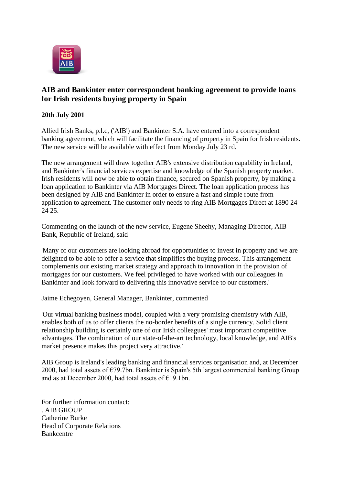

## **AIB and Bankinter enter correspondent banking agreement to provide loans for Irish residents buying property in Spain**

## **20th July 2001**

Allied Irish Banks, p.l.c, ('AIB') and Bankinter S.A. have entered into a correspondent banking agreement, which will facilitate the financing of property in Spain for Irish residents. The new service will be available with effect from Monday July 23 rd.

The new arrangement will draw together AIB's extensive distribution capability in Ireland, and Bankinter's financial services expertise and knowledge of the Spanish property market. Irish residents will now be able to obtain finance, secured on Spanish property, by making a loan application to Bankinter via AIB Mortgages Direct. The loan application process has been designed by AIB and Bankinter in order to ensure a fast and simple route from application to agreement. The customer only needs to ring AIB Mortgages Direct at 1890 24 24 25.

Commenting on the launch of the new service, Eugene Sheehy, Managing Director, AIB Bank, Republic of Ireland, said

'Many of our customers are looking abroad for opportunities to invest in property and we are delighted to be able to offer a service that simplifies the buying process. This arrangement complements our existing market strategy and approach to innovation in the provision of mortgages for our customers. We feel privileged to have worked with our colleagues in Bankinter and look forward to delivering this innovative service to our customers.'

Jaime Echegoyen, General Manager, Bankinter, commented

'Our virtual banking business model, coupled with a very promising chemistry with AIB, enables both of us to offer clients the no-border benefits of a single currency. Solid client relationship building is certainly one of our Irish colleagues' most important competitive advantages. The combination of our state-of-the-art technology, local knowledge, and AIB's market presence makes this project very attractive.'

AIB Group is Ireland's leading banking and financial services organisation and, at December 2000, had total assets of €79.7bn. Bankinter is Spain's 5th largest commercial banking Group and as at December 2000, had total assets of  $E$ 19.1bn.

For further information contact: . AIB GROUP Catherine Burke Head of Corporate Relations Bankcentre